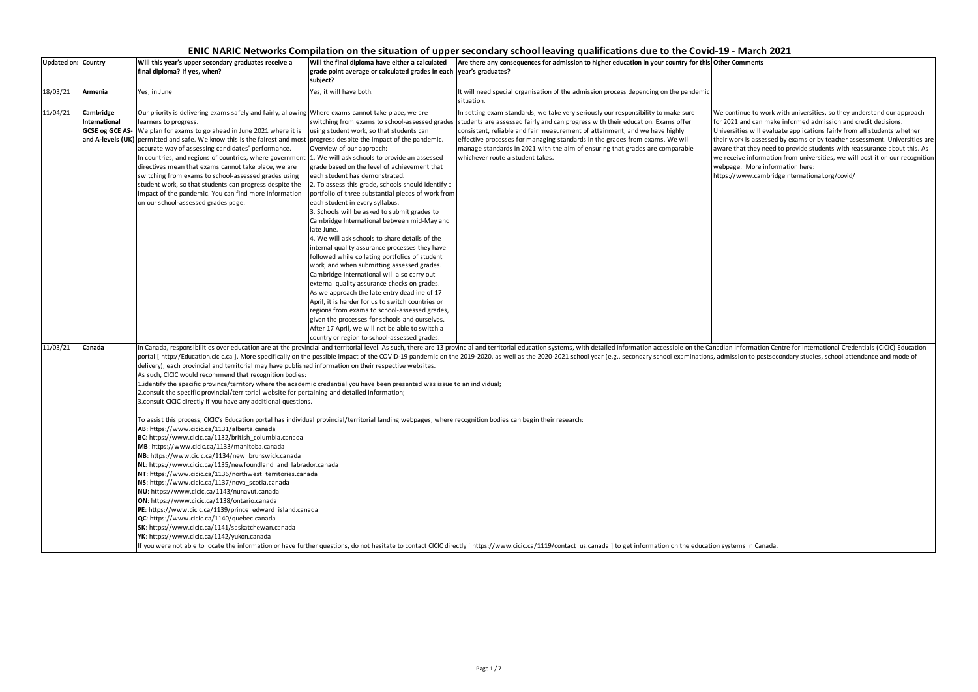# **ENIC NARIC Networks Compilation on the situation of upper secondary school leaving qualifications due to the Covid-19 - March 2021**

### **Updated on: Country Will this year's upper secondary graduates receive a final diploma? If yes, when? Will the final diploma have either a calculated grade point average or calculated grades in each year's graduates? subject? Are there any consequences for admission to higher education in your country for this Other Comments** 18/03/21 **Armenia** Yes, in June Yes, in Tune Yes, it will have both. It will need special organisation of the admission process depending on the pandemic situation. 11/03/21 **Canada** In Canada, responsibilities over education are at the provincial and territorial level. As such, there are 13 provincial and territorial education systems, with detailed information accessible on the Canadian Information C portal [ http://Education.cicic.ca ]. More specifically on the possible impact of the COVID-19 pandemic on the 2019-2020, as well as the 2020-2021 school year (e.g., secondary school examinations, admission to postsecondar delivery), each provincial and territorial may have published information on their respective websites. As such, CICIC would recommend that recognition bodies: 1.identify the specific province/territory where the academic credential you have been presented was issue to an individual; 2.consult the specific provincial/territorial website for pertaining and detailed information; 3.consult CICIC directly if you have any additional questions. To assist this process, CICIC's Education portal has individual provincial/territorial landing webpages, where recognition bodies can begin their research: **AB**: https://www.cicic.ca/1131/alberta.canada **BC**: https://www.cicic.ca/1132/british\_columbia.canada **MB**: https://www.cicic.ca/1133/manitoba.canada **NB**: https://www.cicic.ca/1134/new\_brunswick.canada **NL**: https://www.cicic.ca/1135/newfoundland\_and\_labrador.canada **NT**: https://www.cicic.ca/1136/northwest\_territories.canada **NS**: https://www.cicic.ca/1137/nova\_scotia.canada **NU**: https://www.cicic.ca/1143/nunavut.canada **ON**: https://www.cicic.ca/1138/ontario.canada **PE**: https://www.cicic.ca/1139/prince\_edward\_island.canada **QC**: https://www.cicic.ca/1140/quebec.canada **SK**: https://www.cicic.ca/1141/saskatchewan.canada **YK**: https://www.cicic.ca/1142/yukon.canada If you were not able to locate the information or have further questions, do not hesitate to contact CICIC directly [ https://www.cicic.ca/1119/contact\_us.canada ] to get information on the education systems in Canada. 11/04/21 **Cambridge International GCSE og GCE AS**and A-levels (UK) permitted and safe. We know this is the fairest and most progress despite the impact of the pandemic. Our priority is delivering exams safely and fairly, allowing Where exams cannot take place, we are learners to progress. We plan for exams to go ahead in June 2021 where it is accurate way of assessing candidates' performance. In countries, and regions of countries, where government directives mean that exams cannot take place, we are switching from exams to school-assessed grades using student work, so that students can progress despite the impact of the pandemic. You can find more information on our school-assessed grades page. switching from exams to school-assessed grades |students are assessed fairly and can progress with their education. Exams offer using student work, so that students can Overview of our approach: 1. We will ask schools to provide an assessed grade based on the level of achievement that each student has demonstrated. 2. To assess this grade, schools should identify a portfolio of three substantial pieces of work from each student in every syllabus. 3. Schools will be asked to submit grades to Cambridge International between mid-May and late June. 4. We will ask schools to share details of the internal quality assurance processes they have followed while collating portfolios of student work, and when submitting assessed grades. Cambridge International will also carry out external quality assurance checks on grades. As we approach the late entry deadline of 17 April, it is harder for us to switch countries or regions from exams to school-assessed grades, given the processes for schools and ourselves. After 17 April, we will not be able to switch a country or region to school-assessed grades. In setting exam standards, we take very seriously our responsibility to make sure consistent, reliable and fair measurement of attainment, and we have highly effective processes for managing standards in the grades from exams. We will manage standards in 2021 with the aim of ensuring that grades are comparable whichever route a student takes.

We continue to work with universities, so they understand our approach for 2021 and can make informed admission and credit decisions. Universities will evaluate applications fairly from all students whether their work is assessed by exams or by teacher assessment. Universities are aware that they need to provide students with reassurance about this. As we receive information from universities, we will post it on our recognition webpage.  More information here:

https://www.cambridgeinternational.org/covid/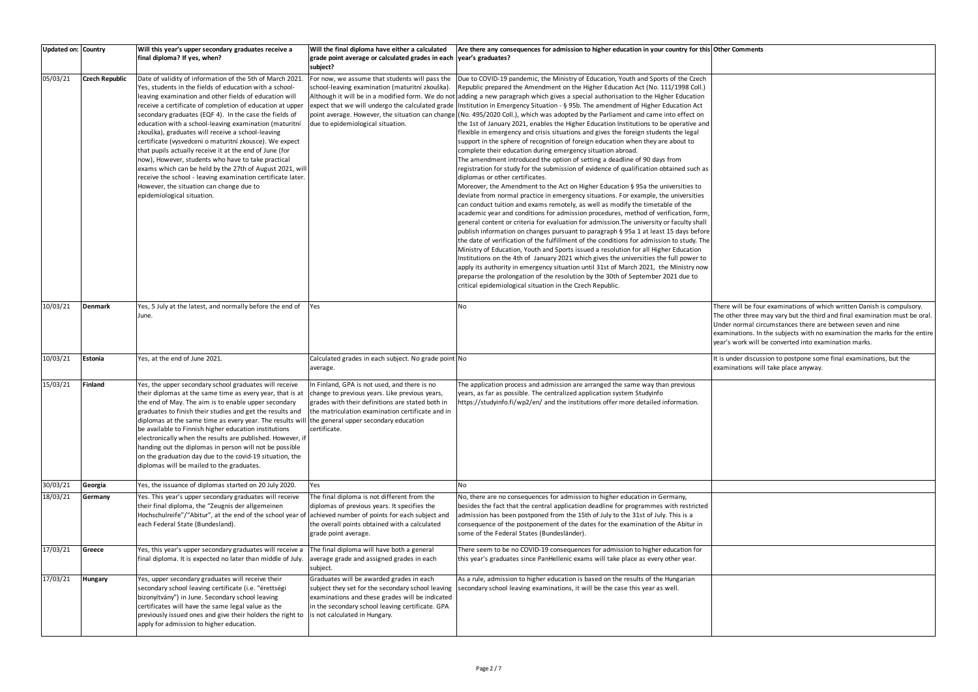ill be four examinations of which written Danish is compulsory. er three may vary but the third and final examination must be oral. ormal circumstances there are between seven and nine tions. In the subjects with no examination the marks for the entire ork will be converted into examination marks.

er discussion to postpone some final examinations, but the tions will take place anyway.

| Updated on: Country |                       | Will this year's upper secondary graduates receive a<br>final diploma? If yes, when?                                                                                                                                                                                                                                                                                                                                                                                                                                                                                                                                                                                                                                                                                                                 | Will the final diploma have either a calculated<br>grade point average or calculated grades in each vear's graduates?<br>subject?                                                                                                     | Are there any consequences for admission to higher education in your country for this Other Co                                                                                                                                                                                                                                                                                                                                                                                                                                                                                                                                                                                                                                                                                                                                                                                                                                                                                                                                                                                                                                                                                                                                                                                                                                                                                                                                                                                                                                                                                                                                                                                                                                                                                                                                                                                                                                                                                                                                                                                                                                                                                                                 |                                                             |
|---------------------|-----------------------|------------------------------------------------------------------------------------------------------------------------------------------------------------------------------------------------------------------------------------------------------------------------------------------------------------------------------------------------------------------------------------------------------------------------------------------------------------------------------------------------------------------------------------------------------------------------------------------------------------------------------------------------------------------------------------------------------------------------------------------------------------------------------------------------------|---------------------------------------------------------------------------------------------------------------------------------------------------------------------------------------------------------------------------------------|----------------------------------------------------------------------------------------------------------------------------------------------------------------------------------------------------------------------------------------------------------------------------------------------------------------------------------------------------------------------------------------------------------------------------------------------------------------------------------------------------------------------------------------------------------------------------------------------------------------------------------------------------------------------------------------------------------------------------------------------------------------------------------------------------------------------------------------------------------------------------------------------------------------------------------------------------------------------------------------------------------------------------------------------------------------------------------------------------------------------------------------------------------------------------------------------------------------------------------------------------------------------------------------------------------------------------------------------------------------------------------------------------------------------------------------------------------------------------------------------------------------------------------------------------------------------------------------------------------------------------------------------------------------------------------------------------------------------------------------------------------------------------------------------------------------------------------------------------------------------------------------------------------------------------------------------------------------------------------------------------------------------------------------------------------------------------------------------------------------------------------------------------------------------------------------------------------------|-------------------------------------------------------------|
| 05/03/21            | <b>Czech Republic</b> | Date of validity of information of the 5th of March 2021<br>Yes, students in the fields of education with a school-<br>leaving examination and other fields of education will<br>receive a certificate of completion of education at upper<br>secondary graduates (EQF 4). In the case the fields of<br>education with a school-leaving examination (maturitní<br>zkouška), graduates will receive a school-leaving<br>certificate (vysvedceni o maturitní zkousce). We expect<br>that pupils actually receive it at the end of June (for<br>now), However, students who have to take practical<br>exams which can be held by the 27th of August 2021, will<br>receive the school - leaving examination certificate later.<br>However, the situation can change due to<br>epidemiological situation. | For now, we assume that students will pass the<br>school-leaving examination (maturitní zkouška).<br>due to epidemiological situation.                                                                                                | Due to COVID-19 pandemic, the Ministry of Education, Youth and Sports of the Czech<br>Republic prepared the Amendment on the Higher Education Act (No. 111/1998 Coll.)<br>Although it will be in a modified form. We do not adding a new paragraph which gives a special authorisation to the Higher Education<br>expect that we will undergo the calculated grade  Institution in Emergency Situation - § 95b. The amendment of Higher Education Act<br>point average. However, the situation can change (No. 495/2020 Coll.), which was adopted by the Parliament and came into effect on<br>the 1st of January 2021, enables the Higher Education Institutions to be operative and<br>flexible in emergency and crisis situations and gives the foreign students the legal<br>support in the sphere of recognition of foreign education when they are about to<br>complete their education during emergency situation abroad.<br>The amendment introduced the option of setting a deadline of 90 days from<br>registration for study for the submission of evidence of qualification obtained such as<br>diplomas or other certificates.<br>Moreover, the Amendment to the Act on Higher Education § 95a the universities to<br>deviate from normal practice in emergency situations. For example, the universities<br>can conduct tuition and exams remotely, as well as modify the timetable of the<br>academic year and conditions for admission procedures, method of verification, form,<br>general content or criteria for evaluation for admission. The university or faculty shall<br>publish information on changes pursuant to paragraph § 95a 1 at least 15 days before<br>the date of verification of the fulfillment of the conditions for admission to study. The<br>Ministry of Education, Youth and Sports issued a resolution for all Higher Education<br>Institutions on the 4th of January 2021 which gives the universities the full power to<br>apply its authority in emergency situation until 31st of March 2021, the Ministry now<br>preparse the prolongation of the resolution by the 30th of September 2021 due to<br>critical epidemiological situation in the Czech Republic. |                                                             |
| 10/03/21            | <b>Denmark</b>        | Yes, 5 July at the latest, and normally before the end of<br>June.                                                                                                                                                                                                                                                                                                                                                                                                                                                                                                                                                                                                                                                                                                                                   | Yes                                                                                                                                                                                                                                   | No                                                                                                                                                                                                                                                                                                                                                                                                                                                                                                                                                                                                                                                                                                                                                                                                                                                                                                                                                                                                                                                                                                                                                                                                                                                                                                                                                                                                                                                                                                                                                                                                                                                                                                                                                                                                                                                                                                                                                                                                                                                                                                                                                                                                             | There wil<br>The other<br>Under no<br>examinat<br>year's wo |
| 10/03/21            | Estonia               | Yes, at the end of June 2021.                                                                                                                                                                                                                                                                                                                                                                                                                                                                                                                                                                                                                                                                                                                                                                        | Calculated grades in each subject. No grade point No<br>average.                                                                                                                                                                      |                                                                                                                                                                                                                                                                                                                                                                                                                                                                                                                                                                                                                                                                                                                                                                                                                                                                                                                                                                                                                                                                                                                                                                                                                                                                                                                                                                                                                                                                                                                                                                                                                                                                                                                                                                                                                                                                                                                                                                                                                                                                                                                                                                                                                | It is unde<br>examinat                                      |
| 15/03/21            | <b>Finland</b>        | Yes, the upper secondary school graduates will receive<br>their diplomas at the same time as every year, that is at<br>the end of May. The aim is to enable upper secondary<br>graduates to finish their studies and get the results and<br>diplomas at the same time as every year. The results will the general upper secondary education<br>be available to Finnish higher education institutions<br>electronically when the results are published. However, if<br>handing out the diplomas in person will not be possible<br>on the graduation day due to the covid-19 situation, the<br>diplomas will be mailed to the graduates.                                                                                                                                                               | In Finland, GPA is not used, and there is no<br>change to previous years. Like previous years,<br>grades with their definitions are stated both in<br>the matriculation examination certificate and in<br>certificate.                | The application process and admission are arranged the same way than previous<br>years, as far as possible. The centralized application system Studyinfo<br>https://studyinfo.fi/wp2/en/ and the institutions offer more detailed information.                                                                                                                                                                                                                                                                                                                                                                                                                                                                                                                                                                                                                                                                                                                                                                                                                                                                                                                                                                                                                                                                                                                                                                                                                                                                                                                                                                                                                                                                                                                                                                                                                                                                                                                                                                                                                                                                                                                                                                 |                                                             |
| 30/03/21            | Georgia               | Yes, the issuance of diplomas started on 20 July 2020.                                                                                                                                                                                                                                                                                                                                                                                                                                                                                                                                                                                                                                                                                                                                               | Yes                                                                                                                                                                                                                                   | <b>No</b>                                                                                                                                                                                                                                                                                                                                                                                                                                                                                                                                                                                                                                                                                                                                                                                                                                                                                                                                                                                                                                                                                                                                                                                                                                                                                                                                                                                                                                                                                                                                                                                                                                                                                                                                                                                                                                                                                                                                                                                                                                                                                                                                                                                                      |                                                             |
| 18/03/21            | Germany               | Yes. This year's upper secondary graduates will receive<br>their final diploma, the "Zeugnis der allgemeinen<br>Hochschulreife"/"Abitur", at the end of the school year of achieved number of points for each subject and<br>each Federal State (Bundesland).                                                                                                                                                                                                                                                                                                                                                                                                                                                                                                                                        | The final diploma is not different from the<br>diplomas of previous years. It specifies the<br>the overall points obtained with a calculated<br>grade point average.                                                                  | No, there are no consequences for admission to higher education in Germany,<br>besides the fact that the central application deadline for programmes with restricted<br>admission has been postponed from the 15th of July to the 31st of July. This is a<br>consequence of the postponement of the dates for the examination of the Abitur in<br>some of the Federal States (Bundesländer).                                                                                                                                                                                                                                                                                                                                                                                                                                                                                                                                                                                                                                                                                                                                                                                                                                                                                                                                                                                                                                                                                                                                                                                                                                                                                                                                                                                                                                                                                                                                                                                                                                                                                                                                                                                                                   |                                                             |
| 17/03/21            | Greece                | Yes, this year's upper secondary graduates will receive a<br>final diploma. It is expected no later than middle of July.                                                                                                                                                                                                                                                                                                                                                                                                                                                                                                                                                                                                                                                                             | The final diploma will have both a general<br>average grade and assigned grades in each<br>subject.                                                                                                                                   | There seem to be no COVID-19 consequences for admission to higher education for<br>this year's graduates since PanHellenic exams will take place as every other year.                                                                                                                                                                                                                                                                                                                                                                                                                                                                                                                                                                                                                                                                                                                                                                                                                                                                                                                                                                                                                                                                                                                                                                                                                                                                                                                                                                                                                                                                                                                                                                                                                                                                                                                                                                                                                                                                                                                                                                                                                                          |                                                             |
| 17/03/21            | <b>Hungary</b>        | Yes, upper secondary graduates will receive their<br>secondary school leaving certificate (i.e. "érettségi<br>bizonyítvány") in June. Secondary school leaving<br>certificates will have the same legal value as the<br>previously issued ones and give their holders the right to<br>apply for admission to higher education.                                                                                                                                                                                                                                                                                                                                                                                                                                                                       | Graduates will be awarded grades in each<br>subject they set for the secondary school leaving<br>examinations and these grades will be indicated<br>in the secondary school leaving certificate. GPA<br>is not calculated in Hungary. | As a rule, admission to higher education is based on the results of the Hungarian<br>secondary school leaving examinations, it will be the case this year as well.                                                                                                                                                                                                                                                                                                                                                                                                                                                                                                                                                                                                                                                                                                                                                                                                                                                                                                                                                                                                                                                                                                                                                                                                                                                                                                                                                                                                                                                                                                                                                                                                                                                                                                                                                                                                                                                                                                                                                                                                                                             |                                                             |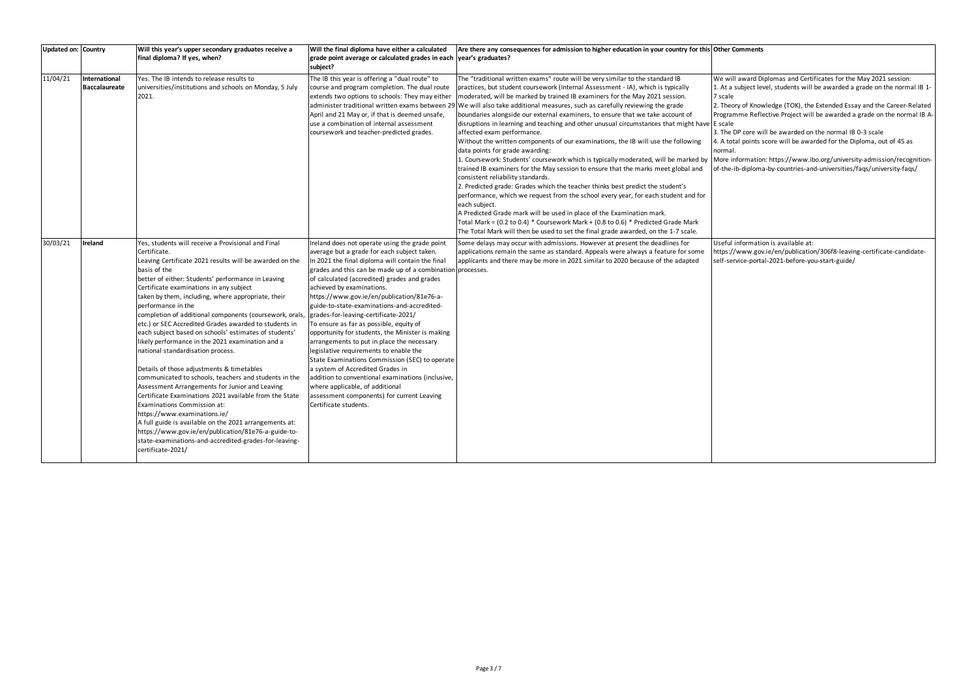## **Omments**

award Diplomas and Certificates for the May 2021 session: subject level, students will be awarded a grade on the normal IB 1-

ry of Knowledge (TOK), the Extended Essay and the Career-Related nme Reflective Project will be awarded a grade on the normal IB A-

OP core will be awarded on the normal IB 0-3 scale I points score will be awarded for the Diploma, out of 45 as

formation: https://www.ibo.org/university-admission/recognitiono-diploma-by-countries-and-universities/faqs/university-faqs/

Information is available at: www.gov.ie/en/publication/306f8-leaving-certificate-candidatevice-portal-2021-before-you-start-guide/

| Updated on: Country |                                | Will this year's upper secondary graduates receive a<br>final diploma? If yes, when?                                                                                                                                                                                                                                                                                                                                                                                                                                                                                                                                                                                                                                                                                                                                                                                                                                                                                                                                                                                            | Will the final diploma have either a calculated<br>grade point average or calculated grades in each<br>subject?                                                                                                                                                                                                                                                                                                                                                                                                                                                                                                                                                                                                                                                                                                                                                               | Are there any consequences for admission to higher education in your country for this Other Co<br>year's graduates?                                                                                                                                                                                                                                                                                                                                                                                                                                                                                                                                                                                                                                                                                                                                                                                                                                                                                                                                                                                                                                                                                                                                                                                                                             |                                                                                                            |
|---------------------|--------------------------------|---------------------------------------------------------------------------------------------------------------------------------------------------------------------------------------------------------------------------------------------------------------------------------------------------------------------------------------------------------------------------------------------------------------------------------------------------------------------------------------------------------------------------------------------------------------------------------------------------------------------------------------------------------------------------------------------------------------------------------------------------------------------------------------------------------------------------------------------------------------------------------------------------------------------------------------------------------------------------------------------------------------------------------------------------------------------------------|-------------------------------------------------------------------------------------------------------------------------------------------------------------------------------------------------------------------------------------------------------------------------------------------------------------------------------------------------------------------------------------------------------------------------------------------------------------------------------------------------------------------------------------------------------------------------------------------------------------------------------------------------------------------------------------------------------------------------------------------------------------------------------------------------------------------------------------------------------------------------------|-------------------------------------------------------------------------------------------------------------------------------------------------------------------------------------------------------------------------------------------------------------------------------------------------------------------------------------------------------------------------------------------------------------------------------------------------------------------------------------------------------------------------------------------------------------------------------------------------------------------------------------------------------------------------------------------------------------------------------------------------------------------------------------------------------------------------------------------------------------------------------------------------------------------------------------------------------------------------------------------------------------------------------------------------------------------------------------------------------------------------------------------------------------------------------------------------------------------------------------------------------------------------------------------------------------------------------------------------|------------------------------------------------------------------------------------------------------------|
| 11/04/21            | International<br>Baccalaureate | Yes. The IB intends to release results to<br>universities/institutions and schools on Monday, 5 July<br>2021.                                                                                                                                                                                                                                                                                                                                                                                                                                                                                                                                                                                                                                                                                                                                                                                                                                                                                                                                                                   | The IB this year is offering a "dual route" to<br>course and program completion. The dual route<br>extends two options to schools: They may either<br>administer traditional written exams between 29<br>April and 21 May or, if that is deemed unsafe,<br>use a combination of internal assessment<br>coursework and teacher-predicted grades.                                                                                                                                                                                                                                                                                                                                                                                                                                                                                                                               | The "traditional written exams" route will be very similar to the standard IB<br>practices, but student coursework (Internal Assessment - IA), which is typically<br>moderated, will be marked by trained IB examiners for the May 2021 session.<br>We will also take additional measures, such as carefully reviewing the grade<br>boundaries alongside our external examiners, to ensure that we take account of<br>disruptions in learning and teaching and other unusual circumstances that might have E scale<br>affected exam performance.<br>Without the written components of our examinations, the IB will use the following<br>data points for grade awarding:<br>1. Coursework: Students' coursework which is typically moderated, will be marked by More inf<br>trained IB examiners for the May session to ensure that the marks meet global and<br>consistent reliability standards.<br>2. Predicted grade: Grades which the teacher thinks best predict the student's<br>performance, which we request from the school every year, for each student and for<br>each subject.<br>A Predicted Grade mark will be used in place of the Examination mark.<br>Total Mark = (0.2 to 0.4) * Coursework Mark + (0.8 to 0.6) * Predicted Grade Mark<br>The Total Mark will then be used to set the final grade awarded, on the 1-7 scale. | We will<br>1. At a su<br>7 scale<br>2. Theory<br>Program<br>3. The DI<br>4. A tota<br>normal.<br>of-the-ib |
| 30/03/21            | Ireland                        | Yes, students will receive a Provisional and Final<br>Certificate.<br>Leaving Certificate 2021 results will be awarded on the<br>basis of the<br>better of either: Students' performance in Leaving<br>Certificate examinations in any subject<br>taken by them, including, where appropriate, their<br>performance in the<br>completion of additional components (coursework, orals<br>etc.) or SEC Accredited Grades awarded to students in<br>each subject based on schools' estimates of students'<br>likely performance in the 2021 examination and a<br>national standardisation process.<br>Details of those adjustments & timetables<br>communicated to schools, teachers and students in the<br>Assessment Arrangements for Junior and Leaving<br>Certificate Examinations 2021 available from the State<br>Examinations Commission at:<br>https://www.examinations.ie/<br>A full guide is available on the 2021 arrangements at:<br>https://www.gov.ie/en/publication/81e76-a-guide-to-<br>state-examinations-and-accredited-grades-for-leaving-<br>certificate-2021/ | Ireland does not operate using the grade point<br>average but a grade for each subject taken.<br>In 2021 the final diploma will contain the final<br>grades and this can be made up of a combination processes.<br>of calculated (accredited) grades and grades<br>achieved by examinations.<br>https://www.gov.ie/en/publication/81e76-a-<br>guide-to-state-examinations-and-accredited-<br>grades-for-leaving-certificate-2021/<br>To ensure as far as possible, equity of<br>opportunity for students, the Minister is making<br>arrangements to put in place the necessary<br>legislative requirements to enable the<br>State Examinations Commission (SEC) to operate<br>a system of Accredited Grades in<br>addition to conventional examinations (inclusive,<br>where applicable, of additional<br>assessment components) for current Leaving<br>Certificate students. | Some delays may occur with admissions. However at present the deadlines for<br>applications remain the same as standard. Appeals were always a feature for some<br>applicants and there may be more in 2021 similar to 2020 because of the adapted                                                                                                                                                                                                                                                                                                                                                                                                                                                                                                                                                                                                                                                                                                                                                                                                                                                                                                                                                                                                                                                                                              | Useful ir<br>https://v<br>self-serv                                                                        |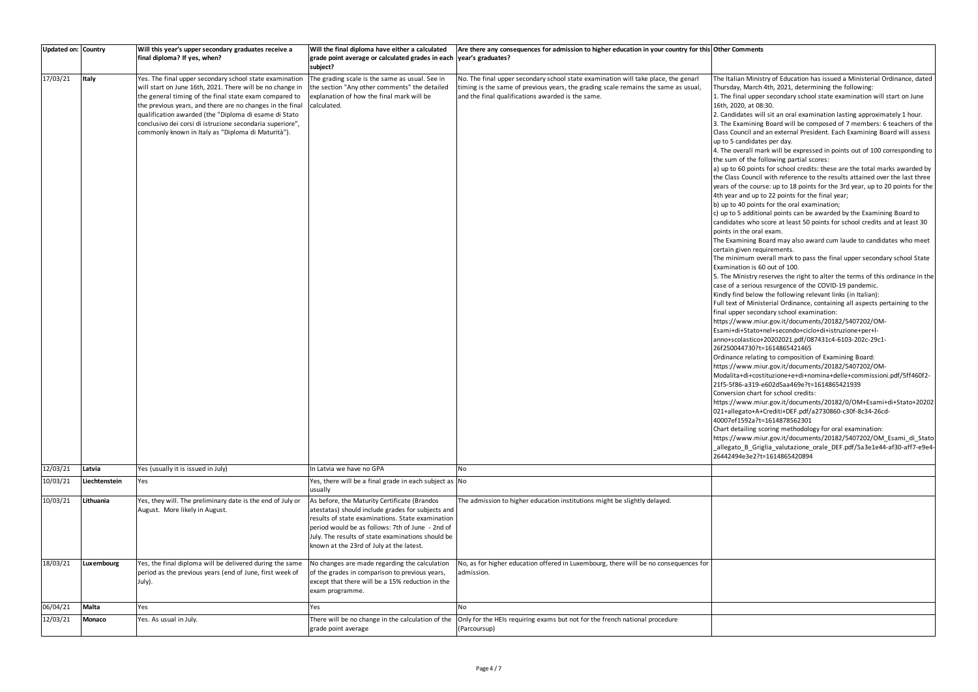| Updated on: Country |               | Will this year's upper secondary graduates receive a<br>final diploma? If yes, when?                                                                                                                                                                                                                                                                                                                                    | Will the final diploma have either a calculated<br>grade point average or calculated grades in each vear's graduates?<br>subject?                                                                                                                                                                          | Are there any consequences for admission to higher education in your country for this Other Comments                                                                                                                         |                                                                                                                                                                                                                                                                                                                                                                                                                                                                                                                                                                                                                                                                                                                                                                                                                                                                                                                                                                                                                                                                                                                                                                                                                                                                                                                                                                                                                                                                                                                                                                                                                                                                                                                                                                                                                                                                                                                                                                                                                                                                                                                                                                                                                                                                                                                                                                                                                                                                                                                                                                                                                                                |  |
|---------------------|---------------|-------------------------------------------------------------------------------------------------------------------------------------------------------------------------------------------------------------------------------------------------------------------------------------------------------------------------------------------------------------------------------------------------------------------------|------------------------------------------------------------------------------------------------------------------------------------------------------------------------------------------------------------------------------------------------------------------------------------------------------------|------------------------------------------------------------------------------------------------------------------------------------------------------------------------------------------------------------------------------|------------------------------------------------------------------------------------------------------------------------------------------------------------------------------------------------------------------------------------------------------------------------------------------------------------------------------------------------------------------------------------------------------------------------------------------------------------------------------------------------------------------------------------------------------------------------------------------------------------------------------------------------------------------------------------------------------------------------------------------------------------------------------------------------------------------------------------------------------------------------------------------------------------------------------------------------------------------------------------------------------------------------------------------------------------------------------------------------------------------------------------------------------------------------------------------------------------------------------------------------------------------------------------------------------------------------------------------------------------------------------------------------------------------------------------------------------------------------------------------------------------------------------------------------------------------------------------------------------------------------------------------------------------------------------------------------------------------------------------------------------------------------------------------------------------------------------------------------------------------------------------------------------------------------------------------------------------------------------------------------------------------------------------------------------------------------------------------------------------------------------------------------------------------------------------------------------------------------------------------------------------------------------------------------------------------------------------------------------------------------------------------------------------------------------------------------------------------------------------------------------------------------------------------------------------------------------------------------------------------------------------------------|--|
| 17/03/21            | Italy         | Yes. The final upper secondary school state examination<br>will start on June 16th, 2021. There will be no change in<br>the general timing of the final state exam compared to<br>the previous years, and there are no changes in the final<br>qualification awarded (the "Diploma di esame di Stato<br>conclusivo dei corsi di istruzione secondaria superiore",<br>commonly known in Italy as "Diploma di Maturità"). | The grading scale is the same as usual. See in<br>the section "Any other comments" the detailed<br>explanation of how the final mark will be<br>calculated.                                                                                                                                                | No. The final upper secondary school state examination will take place, the genarl<br>timing is the same of previous years, the grading scale remains the same as usual<br>and the final qualifications awarded is the same. | The Italian Ministry of Education has issued a Ministerial Ordinance, dated<br>Thursday, March 4th, 2021, determining the following:<br>1. The final upper secondary school state examination will start on June<br>16th, 2020, at 08:30.<br>2. Candidates will sit an oral examination lasting approximately 1 hour.<br>3. The Examining Board will be composed of 7 members: 6 teachers of the<br>Class Council and an external President. Each Examining Board will assess<br>up to 5 candidates per day.<br>4. The overall mark will be expressed in points out of 100 corresponding to<br>the sum of the following partial scores:<br>a) up to 60 points for school credits: these are the total marks awarded by<br>the Class Council with reference to the results attained over the last three<br>years of the course: up to 18 points for the 3rd year, up to 20 points for the<br>4th year and up to 22 points for the final year;<br>b) up to 40 points for the oral examination;<br>c) up to 5 additional points can be awarded by the Examining Board to<br>candidates who score at least 50 points for school credits and at least 30<br>points in the oral exam.<br>The Examining Board may also award cum laude to candidates who meet<br>certain given requirements.<br>The minimum overall mark to pass the final upper secondary school State<br>Examination is 60 out of 100.<br>5. The Ministry reserves the right to alter the terms of this ordinance in the<br>case of a serious resurgence of the COVID-19 pandemic.<br>Kindly find below the following relevant links (in Italian):<br>Full text of Ministerial Ordinance, containing all aspects pertaining to the<br>final upper secondary school examination:<br>https://www.miur.gov.it/documents/20182/5407202/OM-<br>Esami+di+Stato+nel+secondo+ciclo+di+istruzione+per+l-<br>anno+scolastico+20202021.pdf/087431c4-6103-202c-29c1-<br>26f250044730?t=1614865421465<br>Ordinance relating to composition of Examining Board:<br>https://www.miur.gov.it/documents/20182/5407202/OM-<br>Modalita+di+costituzione+e+di+nomina+delle+commissioni.pdf/5ff460f2-<br>21f5-5f86-a319-e602d5aa469e?t=1614865421939<br>Conversion chart for school credits:<br>https://www.miur.gov.it/documents/20182/0/OM+Esami+di+Stato+20202<br>021+allegato+A+Crediti+DEF.pdf/a2730860-c30f-8c34-26cd-<br>40007ef1592a?t=1614878562301<br>Chart detailing scoring methodology for oral examination:<br>https://www.miur.gov.it/documents/20182/5407202/OM_Esami_di_Stato<br>-allegato_B_Griglia_valutazione_orale_DEF.pdf/5a3e1e44-af30-aff7-e9e4-<br>26442494e3e2?t=1614865420894 |  |
| 12/03/21            | Latvia        | Yes (usually it is issued in July)                                                                                                                                                                                                                                                                                                                                                                                      | In Latvia we have no GPA                                                                                                                                                                                                                                                                                   | No                                                                                                                                                                                                                           |                                                                                                                                                                                                                                                                                                                                                                                                                                                                                                                                                                                                                                                                                                                                                                                                                                                                                                                                                                                                                                                                                                                                                                                                                                                                                                                                                                                                                                                                                                                                                                                                                                                                                                                                                                                                                                                                                                                                                                                                                                                                                                                                                                                                                                                                                                                                                                                                                                                                                                                                                                                                                                                |  |
| 10/03/21            | Liechtenstein | Yes                                                                                                                                                                                                                                                                                                                                                                                                                     | Yes, there will be a final grade in each subject as No<br>usually                                                                                                                                                                                                                                          |                                                                                                                                                                                                                              |                                                                                                                                                                                                                                                                                                                                                                                                                                                                                                                                                                                                                                                                                                                                                                                                                                                                                                                                                                                                                                                                                                                                                                                                                                                                                                                                                                                                                                                                                                                                                                                                                                                                                                                                                                                                                                                                                                                                                                                                                                                                                                                                                                                                                                                                                                                                                                                                                                                                                                                                                                                                                                                |  |
| 10/03/21            | Lithuania     | Yes, they will. The preliminary date is the end of July or<br>August. More likely in August.                                                                                                                                                                                                                                                                                                                            | As before, the Maturity Certificate (Brandos<br>atestatas) should include grades for subjects and<br>results of state examinations. State examination<br>period would be as follows: 7th of June - 2nd of<br>July. The results of state examinations should be<br>known at the 23rd of July at the latest. | The admission to higher education institutions might be slightly delayed.                                                                                                                                                    |                                                                                                                                                                                                                                                                                                                                                                                                                                                                                                                                                                                                                                                                                                                                                                                                                                                                                                                                                                                                                                                                                                                                                                                                                                                                                                                                                                                                                                                                                                                                                                                                                                                                                                                                                                                                                                                                                                                                                                                                                                                                                                                                                                                                                                                                                                                                                                                                                                                                                                                                                                                                                                                |  |
| 18/03/21            | Luxembourg    | Yes, the final diploma will be delivered during the same<br>period as the previous years (end of June, first week of<br>July).                                                                                                                                                                                                                                                                                          | No changes are made regarding the calculation<br>of the grades in comparison to previous years,<br>except that there will be a 15% reduction in the<br>exam programme.                                                                                                                                     | No, as for higher education offered in Luxembourg, there will be no consequences for<br>admission.                                                                                                                           |                                                                                                                                                                                                                                                                                                                                                                                                                                                                                                                                                                                                                                                                                                                                                                                                                                                                                                                                                                                                                                                                                                                                                                                                                                                                                                                                                                                                                                                                                                                                                                                                                                                                                                                                                                                                                                                                                                                                                                                                                                                                                                                                                                                                                                                                                                                                                                                                                                                                                                                                                                                                                                                |  |
| 06/04/21            | Malta         | Yes                                                                                                                                                                                                                                                                                                                                                                                                                     | Yes                                                                                                                                                                                                                                                                                                        | No                                                                                                                                                                                                                           |                                                                                                                                                                                                                                                                                                                                                                                                                                                                                                                                                                                                                                                                                                                                                                                                                                                                                                                                                                                                                                                                                                                                                                                                                                                                                                                                                                                                                                                                                                                                                                                                                                                                                                                                                                                                                                                                                                                                                                                                                                                                                                                                                                                                                                                                                                                                                                                                                                                                                                                                                                                                                                                |  |
| 12/03/21            | Monaco        | Yes. As usual in July.                                                                                                                                                                                                                                                                                                                                                                                                  | There will be no change in the calculation of the<br>grade point average                                                                                                                                                                                                                                   | Only for the HEIs requiring exams but not for the french national procedure<br>(Parcoursup)                                                                                                                                  |                                                                                                                                                                                                                                                                                                                                                                                                                                                                                                                                                                                                                                                                                                                                                                                                                                                                                                                                                                                                                                                                                                                                                                                                                                                                                                                                                                                                                                                                                                                                                                                                                                                                                                                                                                                                                                                                                                                                                                                                                                                                                                                                                                                                                                                                                                                                                                                                                                                                                                                                                                                                                                                |  |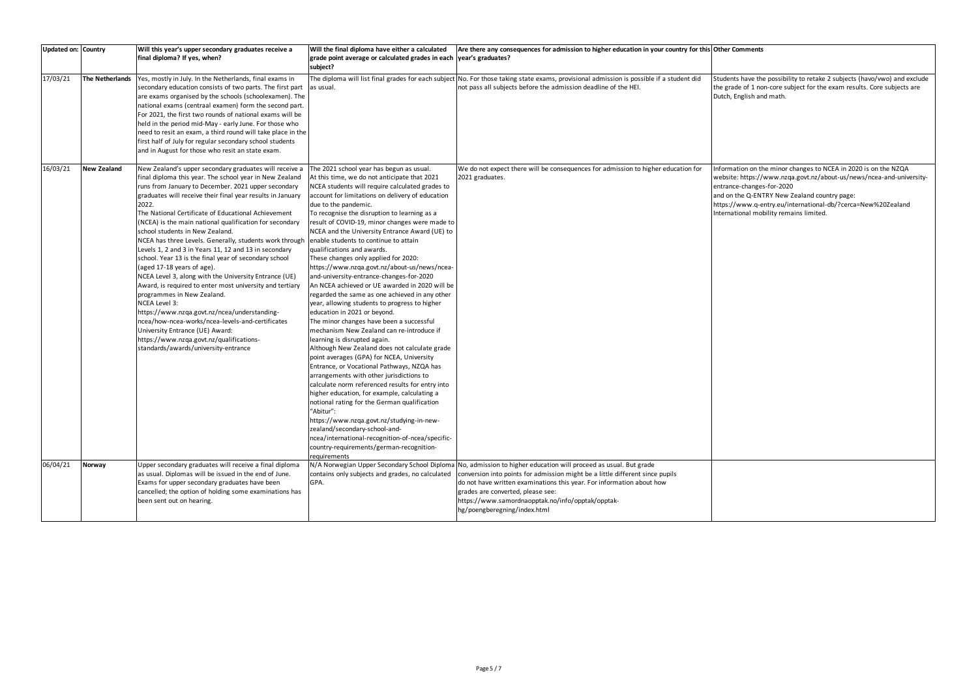# **Other Comments**

s have the possibility to retake 2 subjects (havo/vwo) and exclude de of 1 non-core subject for the exam results. Core subjects are English and math.

ation on the minor changes to NCEA in 2020 is on the NZQA : https://www.nzqa.govt.nz/about-us/news/ncea-and-universitye-changes-for-2020

- and only on the Q-ENTRY New Zealand country page:
- www.q-entry.eu/international-db/?cerca=New%20Zealand Internal mobility remains limited.

| Updated on: Country  |                                       | Will this year's upper secondary graduates receive a                                                                                                                                                                                                                                                                                                                                                                                                                                                                                                                                                                                                                                                                                                                                                                                                                                                                                                 | Will the final diploma have either a calculated                                                                                                                                                                                                                                                                                                                                                                                                                                                                                                                                                                                                                                                                                                                                                                                                                                                                                                                                                                                                                                                                                                                                                                                                                                                                                                                                                                 | Are there any consequences for admission to higher education in your country for this Other Co                                                                                                                                                                                                                                                                                                      |                                                             |
|----------------------|---------------------------------------|------------------------------------------------------------------------------------------------------------------------------------------------------------------------------------------------------------------------------------------------------------------------------------------------------------------------------------------------------------------------------------------------------------------------------------------------------------------------------------------------------------------------------------------------------------------------------------------------------------------------------------------------------------------------------------------------------------------------------------------------------------------------------------------------------------------------------------------------------------------------------------------------------------------------------------------------------|-----------------------------------------------------------------------------------------------------------------------------------------------------------------------------------------------------------------------------------------------------------------------------------------------------------------------------------------------------------------------------------------------------------------------------------------------------------------------------------------------------------------------------------------------------------------------------------------------------------------------------------------------------------------------------------------------------------------------------------------------------------------------------------------------------------------------------------------------------------------------------------------------------------------------------------------------------------------------------------------------------------------------------------------------------------------------------------------------------------------------------------------------------------------------------------------------------------------------------------------------------------------------------------------------------------------------------------------------------------------------------------------------------------------|-----------------------------------------------------------------------------------------------------------------------------------------------------------------------------------------------------------------------------------------------------------------------------------------------------------------------------------------------------------------------------------------------------|-------------------------------------------------------------|
|                      |                                       | final diploma? If yes, when?                                                                                                                                                                                                                                                                                                                                                                                                                                                                                                                                                                                                                                                                                                                                                                                                                                                                                                                         | grade point average or calculated grades in each                                                                                                                                                                                                                                                                                                                                                                                                                                                                                                                                                                                                                                                                                                                                                                                                                                                                                                                                                                                                                                                                                                                                                                                                                                                                                                                                                                | year's graduates?                                                                                                                                                                                                                                                                                                                                                                                   |                                                             |
|                      |                                       |                                                                                                                                                                                                                                                                                                                                                                                                                                                                                                                                                                                                                                                                                                                                                                                                                                                                                                                                                      | subject?                                                                                                                                                                                                                                                                                                                                                                                                                                                                                                                                                                                                                                                                                                                                                                                                                                                                                                                                                                                                                                                                                                                                                                                                                                                                                                                                                                                                        |                                                                                                                                                                                                                                                                                                                                                                                                     |                                                             |
| 17/03/21<br>16/03/21 | The Netherlands<br><b>New Zealand</b> | Yes, mostly in July. In the Netherlands, final exams in<br>secondary education consists of two parts. The first part<br>are exams organised by the schools (schoolexamen). The<br>national exams (centraal examen) form the second part.<br>For 2021, the first two rounds of national exams will be<br>held in the period mid-May - early June. For those who<br>need to resit an exam, a third round will take place in the<br>first half of July for regular secondary school students<br>and in August for those who resit an state exam.<br>New Zealand's upper secondary graduates will receive a                                                                                                                                                                                                                                                                                                                                              | as usual.<br>The 2021 school year has begun as usual.                                                                                                                                                                                                                                                                                                                                                                                                                                                                                                                                                                                                                                                                                                                                                                                                                                                                                                                                                                                                                                                                                                                                                                                                                                                                                                                                                           | The diploma will list final grades for each subject No. For those taking state exams, provisional admission is possible if a student did<br>not pass all subjects before the admission deadline of the HEI.<br>We do not expect there will be consequences for admission to higher education for                                                                                                    | Students<br>the grad<br>Dutch, E<br>Informat                |
|                      |                                       | final diploma this year. The school year in New Zealand<br>runs from January to December. 2021 upper secondary<br>graduates will receive their final year results in January<br>2022.<br>The National Certificate of Educational Achievement<br>(NCEA) is the main national qualification for secondary<br>school students in New Zealand.<br>NCEA has three Levels. Generally, students work through<br>Levels 1, 2 and 3 in Years 11, 12 and 13 in secondary<br>school. Year 13 is the final year of secondary school<br>(aged 17-18 years of age).<br>NCEA Level 3, along with the University Entrance (UE)<br>Award, is required to enter most university and tertiary<br>programmes in New Zealand.<br>NCEA Level 3:<br>https://www.nzqa.govt.nz/ncea/understanding-<br>ncea/how-ncea-works/ncea-levels-and-certificates<br>University Entrance (UE) Award:<br>https://www.nzqa.govt.nz/qualifications-<br>standards/awards/university-entrance | At this time, we do not anticipate that 2021<br>NCEA students will require calculated grades to<br>account for limitations on delivery of education<br>due to the pandemic.<br>To recognise the disruption to learning as a<br>result of COVID-19, minor changes were made to<br>NCEA and the University Entrance Award (UE) to<br>enable students to continue to attain<br>qualifications and awards.<br>These changes only applied for 2020:<br>https://www.nzqa.govt.nz/about-us/news/ncea-<br>and-university-entrance-changes-for-2020<br>An NCEA achieved or UE awarded in 2020 will be<br>regarded the same as one achieved in any other<br>year, allowing students to progress to higher<br>education in 2021 or beyond.<br>The minor changes have been a successful<br>mechanism New Zealand can re-introduce if<br>learning is disrupted again.<br>Although New Zealand does not calculate grade<br>point averages (GPA) for NCEA, University<br>Entrance, or Vocational Pathways, NZQA has<br>arrangements with other jurisdictions to<br>calculate norm referenced results for entry into<br>higher education, for example, calculating a<br>notional rating for the German qualification<br>"Abitur":<br>https://www.nzqa.govt.nz/studying-in-new-<br>zealand/secondary-school-and-<br>ncea/international-recognition-of-ncea/specific-<br>country-requirements/german-recognition-<br>requirements | 2021 graduates.                                                                                                                                                                                                                                                                                                                                                                                     | website:<br>entrance<br>and on tl<br>https://v<br>Internati |
| 06/04/21             | Norway                                | Upper secondary graduates will receive a final diploma<br>as usual. Diplomas will be issued in the end of June.<br>Exams for upper secondary graduates have been<br>cancelled; the option of holding some examinations has<br>been sent out on hearing.                                                                                                                                                                                                                                                                                                                                                                                                                                                                                                                                                                                                                                                                                              | contains only subjects and grades, no calculated<br>GPA.                                                                                                                                                                                                                                                                                                                                                                                                                                                                                                                                                                                                                                                                                                                                                                                                                                                                                                                                                                                                                                                                                                                                                                                                                                                                                                                                                        | N/A Norwegian Upper Secondary School Diploma No, admission to higher education will proceed as usual. But grade<br>conversion into points for admission might be a little different since pupils<br>do not have written examinations this year. For information about how<br>grades are converted, please see:<br>https://www.samordnaopptak.no/info/opptak/opptak-<br>hg/poengberegning/index.html |                                                             |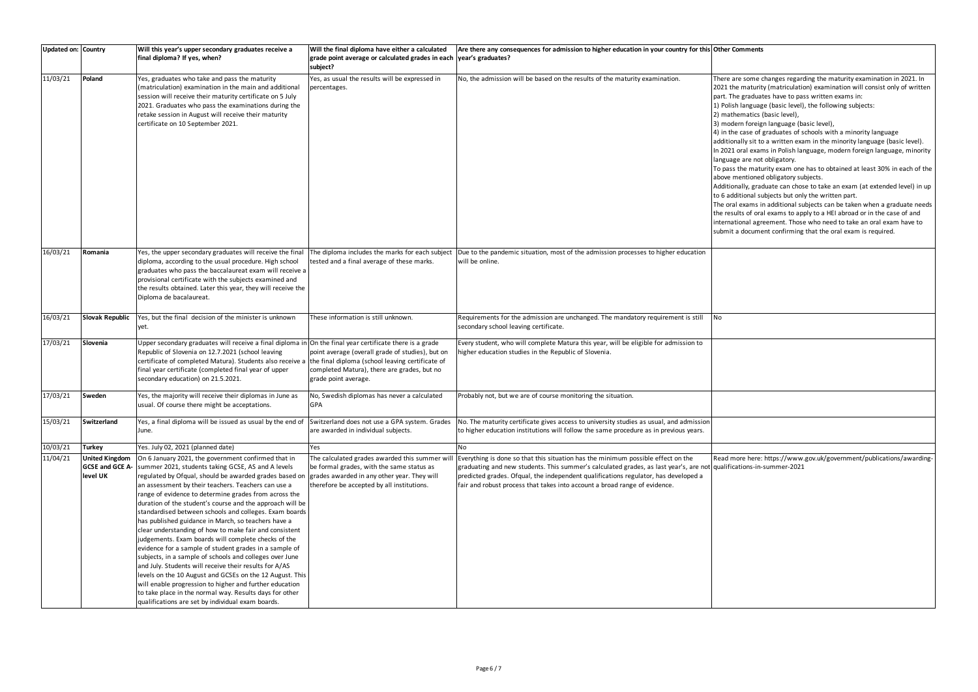### **Other Comments**

re some changes regarding the maturity examination in 2021. In e maturity (matriculation) examination will consist only of written e graduates have to pass written exams in:

h language (basic level), the following subjects:

nematics (basic level),

ern foreign language (basic level),

e case of graduates of schools with a minority language

nally sit to a written exam in the minority language (basic level). oral exams in Polish language, modern foreign language, minority ge are not obligatory.

the maturity exam one has to obtained at least 30% in each of the nentioned obligatory subjects.

nally, graduate can chose to take an exam (at extended level) in up ditional subjects but only the written part.

I exams in additional subjects can be taken when a graduate needs ults of oral exams to apply to a HEI abroad or in the case of and tional agreement. Those who need to take an oral exam have to a document confirming that the oral exam is required.

Iore here: https://www.gov.uk/government/publications/awardingations-in-summer-2021

| <b>Updated on: Country</b> |                                                             | Will this year's upper secondary graduates receive a<br>final diploma? If yes, when?                                                                                                                                                                                                                                                                                                                                                                                                                                                                                                                                                                                                                                                                                                                                                                                                                                                                                                                                                                 | Will the final diploma have either a calculated<br>grade point average or calculated grades in each<br>subject?                          | Are there any consequences for admission to higher education in your country for this Other Co<br>year's graduates?                                                                                                                                                                                                                                      |                                                                                                                                                                                                                  |
|----------------------------|-------------------------------------------------------------|------------------------------------------------------------------------------------------------------------------------------------------------------------------------------------------------------------------------------------------------------------------------------------------------------------------------------------------------------------------------------------------------------------------------------------------------------------------------------------------------------------------------------------------------------------------------------------------------------------------------------------------------------------------------------------------------------------------------------------------------------------------------------------------------------------------------------------------------------------------------------------------------------------------------------------------------------------------------------------------------------------------------------------------------------|------------------------------------------------------------------------------------------------------------------------------------------|----------------------------------------------------------------------------------------------------------------------------------------------------------------------------------------------------------------------------------------------------------------------------------------------------------------------------------------------------------|------------------------------------------------------------------------------------------------------------------------------------------------------------------------------------------------------------------|
| 11/03/21                   | Poland                                                      | Yes, graduates who take and pass the maturity<br>(matriculation) examination in the main and additional<br>session will receive their maturity certificate on 5 July<br>2021. Graduates who pass the examinations during the<br>retake session in August will receive their maturity<br>certificate on 10 September 2021.                                                                                                                                                                                                                                                                                                                                                                                                                                                                                                                                                                                                                                                                                                                            | Yes, as usual the results will be expressed in<br>percentages.                                                                           | No, the admission will be based on the results of the maturity examination.                                                                                                                                                                                                                                                                              | There ar<br>2021 the<br>part. Th<br>1) Polish<br>2) math<br>3) mode<br>4) in the<br>addition<br>In 2021<br>languag<br>To pass<br>above m<br>Additior<br>to 6 add<br>The oral<br>the resu<br>internat<br>submit a |
| 16/03/21                   | Romania                                                     | Yes, the upper secondary graduates will receive the final<br>diploma, according to the usual procedure. High school<br>graduates who pass the baccalaureat exam will receive a<br>provisional certificate with the subjects examined and<br>the results obtained. Later this year, they will receive the<br>Diploma de bacalaureat.                                                                                                                                                                                                                                                                                                                                                                                                                                                                                                                                                                                                                                                                                                                  | The diploma includes the marks for each subject<br>tested and a final average of these marks.                                            | Due to the pandemic situation, most of the admission processes to higher education<br>will be online.                                                                                                                                                                                                                                                    |                                                                                                                                                                                                                  |
| 16/03/21                   | <b>Slovak Republic</b>                                      | Yes, but the final decision of the minister is unknown<br>yet.                                                                                                                                                                                                                                                                                                                                                                                                                                                                                                                                                                                                                                                                                                                                                                                                                                                                                                                                                                                       | These information is still unknown.                                                                                                      | Requirements for the admission are unchanged. The mandatory requirement is still<br>secondary school leaving certificate.                                                                                                                                                                                                                                | No                                                                                                                                                                                                               |
| 17/03/21                   | Slovenia                                                    | Upper secondary graduates will receive a final diploma in On the final year certificate there is a grade<br>Republic of Slovenia on 12.7.2021 (school leaving<br>certificate of completed Matura). Students also receive a the final diploma (school leaving certificate of<br>final year certificate (completed final year of upper<br>secondary education) on 21.5.2021.                                                                                                                                                                                                                                                                                                                                                                                                                                                                                                                                                                                                                                                                           | point average (overall grade of studies), but on<br>completed Matura), there are grades, but no<br>grade point average.                  | Every student, who will complete Matura this year, will be eligible for admission to<br>higher education studies in the Republic of Slovenia.                                                                                                                                                                                                            |                                                                                                                                                                                                                  |
| 17/03/21                   | Sweden                                                      | Yes, the majority will receive their diplomas in June as<br>usual. Of course there might be acceptations.                                                                                                                                                                                                                                                                                                                                                                                                                                                                                                                                                                                                                                                                                                                                                                                                                                                                                                                                            | No, Swedish diplomas has never a calculated<br><b>GPA</b>                                                                                | Probably not, but we are of course monitoring the situation.                                                                                                                                                                                                                                                                                             |                                                                                                                                                                                                                  |
| 15/03/21                   | <b>Switzerland</b>                                          | Yes, a final diploma will be issued as usual by the end of Switzerland does not use a GPA system. Grades<br>June.                                                                                                                                                                                                                                                                                                                                                                                                                                                                                                                                                                                                                                                                                                                                                                                                                                                                                                                                    | are awarded in individual subjects.                                                                                                      | No. The maturity certificate gives access to university studies as usual, and admission<br>to higher education institutions will follow the same procedure as in previous years.                                                                                                                                                                         |                                                                                                                                                                                                                  |
| 10/03/21                   | <b>Turkey</b>                                               | Yes. July 02, 2021 (planned date)                                                                                                                                                                                                                                                                                                                                                                                                                                                                                                                                                                                                                                                                                                                                                                                                                                                                                                                                                                                                                    | Yes                                                                                                                                      | <b>No</b>                                                                                                                                                                                                                                                                                                                                                |                                                                                                                                                                                                                  |
| 11/04/21                   | <b>United Kingdom</b><br><b>GCSE and GCE A-</b><br>level UK | On 6 January 2021, the government confirmed that in<br>summer 2021, students taking GCSE, AS and A levels<br>regulated by Ofqual, should be awarded grades based on grades awarded in any other year. They will<br>an assessment by their teachers. Teachers can use a<br>range of evidence to determine grades from across the<br>duration of the student's course and the approach will be<br>standardised between schools and colleges. Exam boards<br>has published guidance in March, so teachers have a<br>clear understanding of how to make fair and consistent<br>judgements. Exam boards will complete checks of the<br>evidence for a sample of student grades in a sample of<br>subjects, in a sample of schools and colleges over June<br>and July. Students will receive their results for A/AS<br>levels on the 10 August and GCSEs on the 12 August. This<br>will enable progression to higher and further education<br>to take place in the normal way. Results days for other<br>qualifications are set by individual exam boards. | The calculated grades awarded this summer wil<br>be formal grades, with the same status as<br>therefore be accepted by all institutions. | Everything is done so that this situation has the minimum possible effect on the<br>graduating and new students. This summer's calculated grades, as last year's, are not qualifica<br>predicted grades. Ofqual, the independent qualifications regulator, has developed a<br>fair and robust process that takes into account a broad range of evidence. | Read m                                                                                                                                                                                                           |